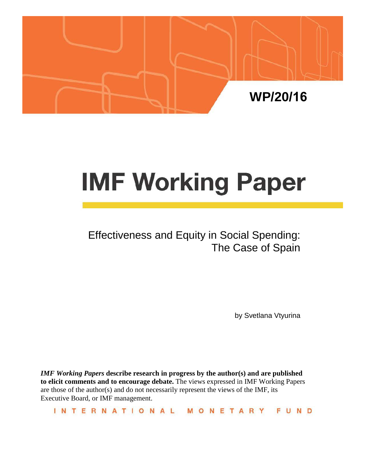

# **IMF Working Paper**

# Effectiveness and Equity in Social Spending: The Case of Spain

by Svetlana Vtyurina

*IMF Working Papers* **describe research in progress by the author(s) and are published to elicit comments and to encourage debate.** The views expressed in IMF Working Papers are those of the author(s) and do not necessarily represent the views of the IMF, its Executive Board, or IMF management.

INTERNATIONAL MONETARY FUND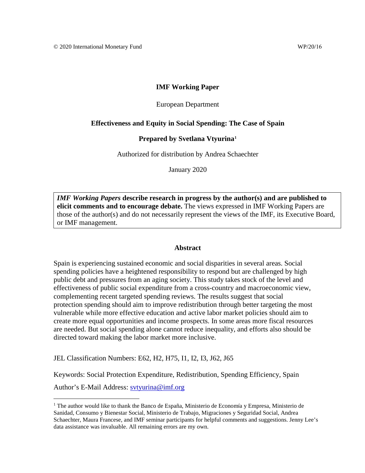# **IMF Working Paper**

#### European Department

### **Effectiveness and Equity in Social Spending: The Case of Spain**

#### **Prepared by Svetlana Vtyurina[1](#page-1-0)**

Authorized for distribution by Andrea Schaechter

January 2020

*IMF Working Papers* **describe research in progress by the author(s) and are published to elicit comments and to encourage debate.** The views expressed in IMF Working Papers are those of the author(s) and do not necessarily represent the views of the IMF, its Executive Board, or IMF management.

#### **Abstract**

Spain is experiencing sustained economic and social disparities in several areas. Social spending policies have a heightened responsibility to respond but are challenged by high public debt and pressures from an aging society. This study takes stock of the level and effectiveness of public social expenditure from a cross-country and macroeconomic view, complementing recent targeted spending reviews. The results suggest that social protection spending should aim to improve redistribution through better targeting the most vulnerable while more effective education and active labor market policies should aim to create more equal opportunities and income prospects. In some areas more fiscal resources are needed. But social spending alone cannot reduce inequality, and efforts also should be directed toward making the labor market more inclusive.

JEL Classification Numbers: E62, H2, H75, I1, I2, I3, J62, J65

Keywords: Social Protection Expenditure, Redistribution, Spending Efficiency, Spain

Author's E-Mail Address: sytyurina@imf.org

<span id="page-1-0"></span> $<sup>1</sup>$  The author would like to thank the Banco de España, Ministerio de Economía y Empresa, Ministerio de</sup> Sanidad, Consumo y Bienestar Social, Ministerio de Trabajo, Migraciones y Seguridad Social, Andrea Schaechter, Maura Francese, and IMF seminar participants for helpful comments and suggestions. Jenny Lee's data assistance was invaluable. All remaining errors are my own.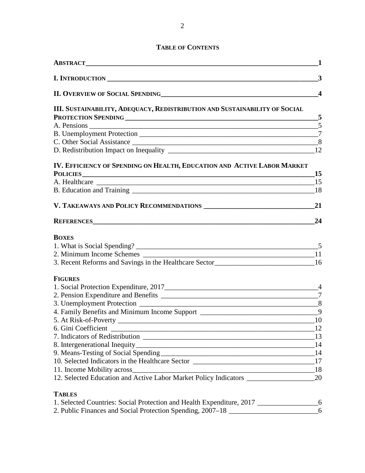# **TABLE OF CONTENTS**

|                                                                                           | $\mathbf 1$            |
|-------------------------------------------------------------------------------------------|------------------------|
| I. INTRODUCTION                                                                           | 3                      |
|                                                                                           | $\boldsymbol{\Lambda}$ |
| III. SUSTAINABILITY, ADEQUACY, REDISTRIBUTION AND SUSTAINABILITY OF SOCIAL                |                        |
| PROTECTION SPENDING 5                                                                     |                        |
|                                                                                           |                        |
|                                                                                           |                        |
|                                                                                           |                        |
| IV. EFFICIENCY OF SPENDING ON HEALTH, EDUCATION AND ACTIVE LABOR MARKET                   |                        |
| POLICIES 15                                                                               |                        |
|                                                                                           |                        |
|                                                                                           |                        |
|                                                                                           | 21                     |
|                                                                                           | 24                     |
| <b>BOXES</b>                                                                              |                        |
|                                                                                           |                        |
|                                                                                           |                        |
| 3. Recent Reforms and Savings in the Healthcare Sector___________________________16       |                        |
| <b>FIGURES</b>                                                                            |                        |
|                                                                                           |                        |
|                                                                                           |                        |
|                                                                                           |                        |
| 4. Family Benefits and Minimum Income Support ___________________________________9        |                        |
|                                                                                           |                        |
|                                                                                           | <sup>12</sup>          |
|                                                                                           |                        |
|                                                                                           |                        |
|                                                                                           |                        |
| 10. Selected Indicators in the Healthcare Sector ________________________________17       |                        |
|                                                                                           |                        |
|                                                                                           |                        |
| <b>TABLES</b>                                                                             |                        |
| 1. Selected Countries: Social Protection and Health Expenditure, 2017 __________________6 |                        |
| 2. Public Finances and Social Protection Spending, 2007-18 _____________________          | 6                      |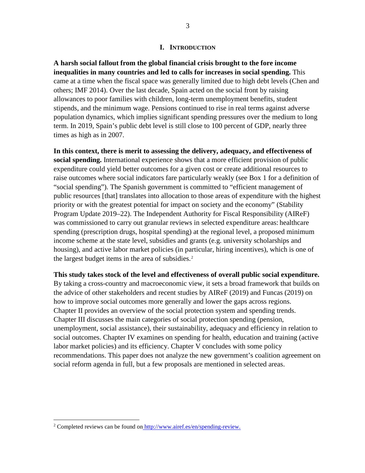#### **I. INTRODUCTION**

**A harsh social fallout from the global financial crisis brought to the fore income inequalities in many countries and led to calls for increases in social spending.** This came at a time when the fiscal space was generally limited due to high debt levels (Chen and others; IMF 2014). Over the last decade, Spain acted on the social front by raising allowances to poor families with children, long-term unemployment benefits, student stipends, and the minimum wage. Pensions continued to rise in real terms against adverse population dynamics, which implies significant spending pressures over the medium to long term. In 2019, Spain's public debt level is still close to 100 percent of GDP, nearly three times as high as in 2007.

**In this context, there is merit to assessing the delivery, adequacy, and effectiveness of social spending.** International experience shows that a more efficient provision of public expenditure could yield better outcomes for a given cost or create additional resources to raise outcomes where social indicators fare particularly weakly (see Box 1 for a definition of "social spending"). The Spanish government is committed to "efficient management of public resources [that] translates into allocation to those areas of expenditure with the highest priority or with the greatest potential for impact on society and the economy" (Stability Program Update 2019–22). The Independent Authority for Fiscal Responsibility (AIReF) was commissioned to carry out granular reviews in selected expenditure areas: healthcare spending (prescription drugs, hospital spending) at the regional level, a proposed minimum income scheme at the state level, subsidies and grants (e.g. university scholarships and housing), and active labor market policies (in particular, hiring incentives), which is one of the largest budget items in the area of subsidies.<sup>[2](#page-3-0)</sup>

**This study takes stock of the level and effectiveness of overall public social expenditure.** By taking a cross-country and macroeconomic view, it sets a broad framework that builds on the advice of other stakeholders and recent studies by AIReF (2019) and Funcas (2019) on how to improve social outcomes more generally and lower the gaps across regions. Chapter II provides an overview of the social protection system and spending trends. Chapter III discusses the main categories of social protection spending (pension, unemployment, social assistance), their sustainability, adequacy and efficiency in relation to social outcomes. Chapter IV examines on spending for health, education and training (active labor market policies) and its efficiency. Chapter V concludes with some policy recommendations. This paper does not analyze the new government's coalition agreement on social reform agenda in full, but a few proposals are mentioned in selected areas.

<span id="page-3-0"></span><sup>&</sup>lt;sup>2</sup> Completed reviews can be found on <http://www.airef.es/en/spending-review.>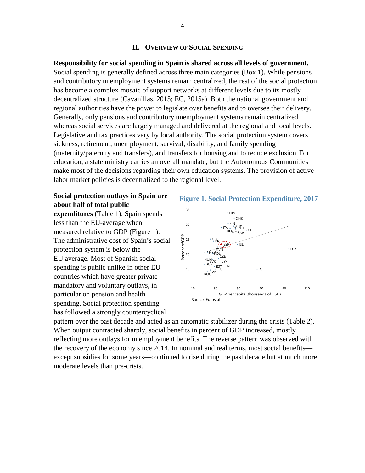#### **II. OVERVIEW OF SOCIAL SPENDING**

**Responsibility for social spending in Spain is shared across all levels of government.**  Social spending is generally defined across three main categories (Box 1). While pensions and contributory unemployment systems remain centralized, the rest of the social protection has become a complex mosaic of support networks at different levels due to its mostly decentralized structure [\(Cavanillas,](http://policyinpractice.co.uk/author/daniel-cavanillas/) 2015; EC, 2015a). Both the national government and regional authorities have the power to legislate over benefits and to oversee their delivery. Generally, only pensions and contributory unemployment systems remain centralized whereas social services are largely managed and delivered at the regional and local levels. Legislative and tax practices vary by local authority. The social protection system covers sickness, retirement, unemployment, survival, disability, and family spending (maternity/paternity and transfers), and transfers for housing and to reduce exclusion. For education, a state ministry carries an overall mandate, but the Autonomous Communities make most of the decisions regarding their own education systems. The provision of active labor market policies is decentralized to the regional level.

# **Social protection outlays in Spain are about half of total public**

**expenditures** (Table 1). Spain spends less than the EU-average when measured relative to GDP (Figure 1). The administrative cost of Spain's social protection system is below the EU average. Most of Spanish social spending is public unlike in other EU countries which have greater private mandatory and voluntary outlays, in particular on pension and health spending. Social protection spending has followed a strongly countercyclical



pattern over the past decade and acted as an automatic stabilizer during the crisis (Table 2). When output contracted sharply, social benefits in percent of GDP increased, mostly reflecting more outlays for unemployment benefits. The reverse pattern was observed with the recovery of the economy since 2014. In nominal and real terms, most social benefits except subsidies for some years—continued to rise during the past decade but at much more moderate levels than pre-crisis.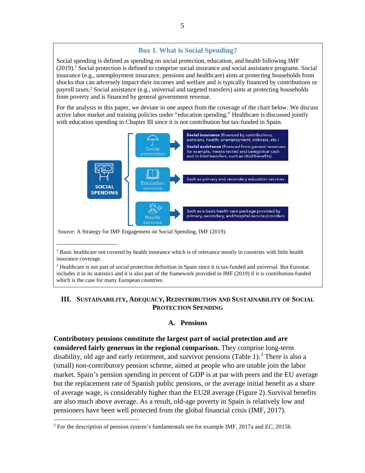# **Box 1. What is Social Spending?**

Social spending is defined as spending on social protection, education, and health following IMF  $(2019)$ .<sup>1</sup> Social protection is defined to comprise social insurance and social assistance programs. Social insurance (e.g., unemployment insurance, pensions and healthcare) aims at protecting households from shocks that can adversely impact their incomes and welfare and is typically financed by contributions or payroll taxes.2 Social assistance (e.g., universal and targeted transfers) aims at protecting households from poverty and is financed by general government revenue.

For the analysis in this paper, we deviate in one aspect from the coverage of the chart below. We discuss active labor market and training policies under "education spending." Healthcare is discussed jointly with education spending in Chapter III since it is not contribution but tax-funded in Spain.



<sup>&</sup>lt;sup>1</sup> Basic healthcare not covered by health insurance which is of relevance mostly in countries with little health insurance coverage.

\_\_\_\_\_\_\_\_\_\_\_\_\_\_\_\_\_\_\_\_\_\_\_\_\_\_

<sup>2</sup> Healthcare is not part of social protection definition in Spain since it is tax-funded and universal. But Eurostat includes it in its statistics and it is also part of the framework provided in IMF (2019) if it is contribution-funded which is the case for many European countries.

# **III. SUSTAINABILITY, ADEQUACY, REDISTRIBUTION AND SUSTAINABILITY OF SOCIAL PROTECTION SPENDING**

# **A. Pensions**

**Contributory pensions constitute the largest part of social protection and are considered fairly generous in the regional comparison.** They comprise long-term disability, old age and early retirement, and survivor pensions (Table 1).<sup>[3](#page-5-0)</sup> There is also a (small) non-contributory pension scheme, aimed at people who are unable join the labor market. Spain's pension spending in percent of GDP is at par with peers and the EU average but the replacement rate of Spanish public pensions, or the average initial benefit as a share of average wage, is considerably higher than the EU28 average (Figure 2). Survival benefits are also much above average. As a result, old-age poverty in Spain is relatively low and pensioners have been well protected from the global financial crisis (IMF, 2017).

<span id="page-5-0"></span><sup>&</sup>lt;sup>3</sup> For the description of pension system's fundamentals see for example IMF, 2017a and EC, 2015b.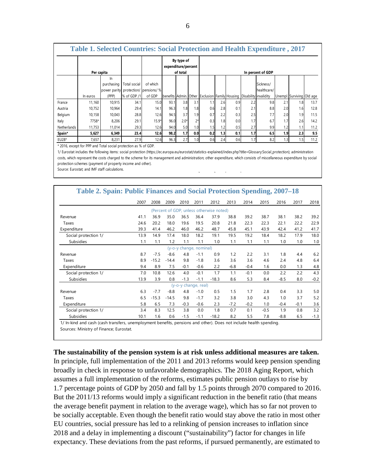| <b>Table 1. Selected Countries: Social Protection and Health Expenditure, 2017</b> |            |              |              |                        |                       |                                   |      |                                                |     |     |                   |             |     |                           |      |
|------------------------------------------------------------------------------------|------------|--------------|--------------|------------------------|-----------------------|-----------------------------------|------|------------------------------------------------|-----|-----|-------------------|-------------|-----|---------------------------|------|
|                                                                                    |            |              |              |                        |                       | By type of<br>expenditure/percent |      |                                                |     |     |                   |             |     |                           |      |
|                                                                                    | Per capita | In           |              |                        | of total              |                                   |      |                                                |     |     | In percent of GDP |             |     |                           |      |
|                                                                                    |            | purchasing   | Total social | of which               |                       |                                   |      |                                                |     |     |                   | Sickness/   |     |                           |      |
|                                                                                    |            | power parity |              | protection/ pensions/% |                       |                                   |      |                                                |     |     |                   | healthcare/ |     |                           |      |
|                                                                                    | In euros   | (PPP)        | % of GDP /1  | of GDP                 | benefits Admin. Other |                                   |      | Exclusion Family Housing Disability invalidity |     |     |                   |             |     | Unempl. Surviving Old age |      |
| France                                                                             | 11.160     | 10.915       | 34.1         | 15.0                   | 93.1                  | 3.8                               | 3.1  | 1.1                                            | 2.6 | 0.9 | 2.2               | 9.8         | 2.1 | 1.8                       | 13.7 |
| Austria                                                                            | 10.752     | 10,964       | 29.4         | 14.1                   | 96.3                  | 1.81                              | 1.8  | 0.6                                            | 2.8 | 0.1 | 2.1               | 8.8         | 2.0 | 1.6                       | 12.8 |
| Belgium                                                                            | 10.158     | 10.043       | 28.8         | 12.6                   | 94.5                  | 3.7                               | 1.9  | 0.7                                            | 2.2 | 0.3 | 2.5               | 7.7         | 2.0 | 1.9                       | 11.5 |
| Italy                                                                              | 7758*      | 8,206        | 29.1         | $15.9*$                | 96.0                  | $2.0*$                            | $2*$ | 0.3                                            | 1.8 | 0.0 | 1.7               | 6.7         | 1.7 | 2.6                       | 14.2 |
| Netherlands                                                                        | 11,753     | 11,014       | 29.3         | 12.6                   | 94.0                  | 5.0                               | 1.0  | 1.5                                            | 1.2 | 0.5 | 2.7               | 9.9         | 1.2 | 1.1                       | 11.2 |
| Spain*                                                                             | 5,627      | 6.349        | 23.4         | 12.6                   | 98.2                  | 1.7 <sub>1</sub>                  | 0.0  | 0.2                                            | 1.3 | 0.1 | 1.7 <sub>l</sub>  | 6.5         | 1.9 | 2.3                       | 9.5  |
| $EU28*$                                                                            | 7,657      | 8,231        | 27.9         | 12.6                   | 96.3                  | 2.7                               | 1.0  | 0.6                                            | 2.4 | 0.6 | 1.7               | 8.2         | 1.3 | 1.5                       | 11.2 |

\* 2016, except for PPP and Total social protection as % of GDP.

1/ Eurostat includes the following items: social protection (https://ec.europa.eu/eurostat/statistics-explained/index.php?title=Glossary:Social\_protection); administration costs, which represent the costs charged to the scheme for its management and administration; other expenditure, which consists of miscellaneous expenditure by social protection schemes (payment of property income and other).

Source: Eurostat; and IMF staff calculations.

| 2007<br>41.1<br>24.6    | 2008<br>36.9 | 2009    | 2010   | 2011   | 2012                                     | 2013   |        |        |        |        |                                                                                                                   |
|-------------------------|--------------|---------|--------|--------|------------------------------------------|--------|--------|--------|--------|--------|-------------------------------------------------------------------------------------------------------------------|
|                         |              |         |        |        |                                          |        | 2014   | 2015   | 2016   | 2017   | 2018                                                                                                              |
|                         |              |         |        |        | (Percent of GDP, unless otherwise noted) |        |        |        |        |        |                                                                                                                   |
|                         |              | 35.0    | 36.5   | 36.4   | 37.9                                     | 38.8   | 39.2   | 38.7   | 38.1   | 38.2   | 39.2                                                                                                              |
|                         | 20.2         | 18.0    | 19.6   | 19.5   | 20.8                                     | 21.8   | 22.3   | 22.3   | 22.1   | 22.2   | 22.9                                                                                                              |
| 39.3                    | 41.4         | 46.2    | 46.0   | 46.2   | 48.7                                     | 45.8   | 45.1   | 43.9   | 42.4   | 41.2   | 41.7                                                                                                              |
| 13.9                    | 14.9         | 17.4    | 18.0   | 18.2   | 19.1                                     | 19.5   | 19.2   | 18.4   | 18.2   | 17.9   | 18.0                                                                                                              |
| 1.1                     | 1.1          | 1.2     | 1.1    | 1.1    | 1.0                                      | 1.1    | 1.1    | 1.1    | 1.0    | 1.0    | 1.0                                                                                                               |
| (y-o-y change, nominal) |              |         |        |        |                                          |        |        |        |        |        |                                                                                                                   |
| 8.7                     | $-7.5$       | $-8.6$  | 4.8    | $-1.1$ | 0.9                                      | 1.2    | 2.2    | 3.1    | 1.8    | 4.4    | 6.2                                                                                                               |
| 8.9                     | $-15.2$      | $-14.4$ | 9.8    | $-1.8$ | 3.6                                      | 3.6    | 3.6    | 4.6    | 2.4    | 4.8    | 6.4                                                                                                               |
| 9.4                     | 8.9          | 7.5     | $-0.1$ | $-0.6$ | 2.2                                      | $-6.8$ | $-0.4$ | 1.6    | 0.0    | 1.3    | 4.8                                                                                                               |
| 7.0                     | 10.8         | 12.6    | 4.0    | $-0.1$ | 1.7                                      | 1.1    | $-0.1$ | 0.0    | 2.2    | 2.2    | 4.3                                                                                                               |
| 13.9                    | 3.9          | 0.8     | $-1.3$ | $-1.1$ | $-18.3$                                  | 8.6    | 5.3    | 8.4    | $-8.5$ | 8.0    | $-0.2$                                                                                                            |
| (y-o-y change, real)    |              |         |        |        |                                          |        |        |        |        |        |                                                                                                                   |
| 6.3                     | $-7.7$       | $-8.8$  | 4.8    | $-1.0$ | 0.5                                      | 1.5    | 1.7    | 2.8    | 0.4    | 3.3    | 5.0                                                                                                               |
| 6.5                     | $-15.3$      | $-14.5$ | 9.8    | $-1.7$ | 3.2                                      | 3.8    | 3.0    | 4.3    | 1.0    | 3.7    | 5.2                                                                                                               |
| 5.8                     | 6.5          | 7.3     | $-0.3$ | $-0.6$ | 2.3                                      | $-7.2$ | $-0.2$ | 1.0    | $-0.4$ | $-0.1$ | 3.6                                                                                                               |
| 3.4                     | 8.3          | 12.5    | 3.8    | 0.0    | 1.8                                      | 0.7    | 0.1    | $-0.5$ | 1.9    | 0.8    | 3.2                                                                                                               |
| 10.1                    | 1.6          | 0.6     | $-1.5$ | $-1.1$ | $-18.2$                                  | 8.2    | 5.5    | 7.8    | $-8.8$ | 6.5    | $-1.3$                                                                                                            |
|                         |              |         |        |        |                                          |        |        |        |        |        | 1/ In-kind and cash (cash transfers, unemployment benefits, pensions and other). Does not include health spending |

1/ In-kind and cash (cash transfers, unemployment benefits, pensions and other). Does not include health spending. Sources: Ministry of Finance; Eurostat.

**The sustainability of the pension system is at risk unless additional measures are taken.**

In principle, full implementation of the 2011 and 2013 reforms would keep pension spending broadly in check in response to unfavorable demographics. The 2018 Aging Report, which assumes a full implementation of the reforms, estimates public pension outlays to rise by 1.7 percentage points of GDP by 2050 and fall by 1.5 points through 2070 compared to 2016. But the 2011/13 reforms would imply a significant reduction in the benefit ratio (that means the average benefit payment in relation to the average wage), which has so far not proven to be socially acceptable. Even though the benefit ratio would stay above the ratio in most other EU countries, social pressure has led to a relinking of pension increases to inflation since 2018 and a delay in implementing a discount ("sustainability") factor for changes in life expectancy. These deviations from the past reforms, if pursued permanently, are estimated to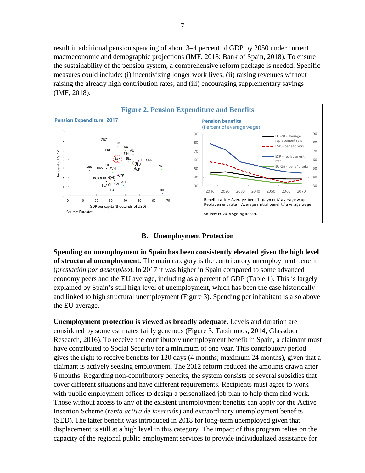result in additional pension spending of about 3–4 percent of GDP by 2050 under current macroeconomic and demographic projections (IMF, 2018; Bank of Spain, 2018). To ensure the sustainability of the pension system, a comprehensive reform package is needed. Specific measures could include: (i) incentivizing longer work lives; (ii) raising revenues without raising the already high contribution rates; and (iii) encouraging supplementary savings (IMF, 2018).





**Spending on unemployment in Spain has been consistently elevated given the high level of structural unemployment.** The main category is the contributory unemployment benefit (*prestación por desempleo*). In 2017 it was higher in Spain compared to some advanced economy peers and the EU average, including as a percent of GDP (Table 1). This is largely explained by Spain's still high level of unemployment, which has been the case historically and linked to high structural unemployment (Figure 3). Spending per inhabitant is also above the EU average.

**Unemployment protection is viewed as broadly adequate.** Levels and duration are considered by some estimates fairly generous (Figure 3; Tatsiramos, 2014; Glassdoor Research, 2016). To receive the contributory unemployment benefit in Spain, a claimant must have contributed to Social Security for a minimum of one year. This contributory period gives the right to receive benefits for 120 days (4 months; maximum 24 months), given that a claimant is actively seeking employment. The 2012 reform reduced the amounts drawn after 6 months. Regarding non-contributory benefits, the system consists of several subsidies that cover different situations and have different requirements. Recipients must agree to work with public employment offices to design a personalized job plan to help them find work. Those without access to any of the existent unemployment benefits can apply for the Active Insertion Scheme (*renta activa de inserción*) and extraordinary unemployment benefits (SED). The latter benefit was introduced in 2018 for long-term unemployed given that displacement is still at a high level in this category. The impact of this program relies on the capacity of the regional public employment services to provide individualized assistance for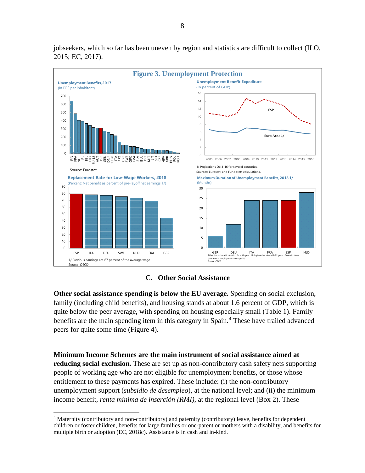

jobseekers, which so far has been uneven by region and statistics are difficult to collect (ILO, 2015; EC, 2017).



**Other social assistance spending is below the EU average.** Spending on social exclusion, family (including child benefits), and housing stands at about 1.6 percent of GDP, which is quite below the peer average, with spending on housing especially small (Table 1). Family benefits are the main spending item in this category in Spain.<sup>[4](#page-8-0)</sup> These have trailed advanced peers for quite some time (Figure 4).

**Minimum Income Schemes are the main instrument of social assistance aimed at reducing social exclusion.** These are set up as non-contributory cash safety nets supporting people of working age who are not eligible for unemployment benefits, or those whose entitlement to these payments has expired. These include: (i) the non-contributory unemployment support (*subsidio de desempleo*), at the national level; and (ii) the minimum income benefit, *renta mínima de inserción (RMI)*, at the regional level (Box 2). These

<span id="page-8-0"></span> <sup>4</sup> Maternity (contributory and non-contributory) and paternity (contributory) leave, benefits for dependent children or foster children, benefits for large families or one-parent or mothers with a disability, and benefits for multiple birth or adoption (EC, 2018c). Assistance is in cash and in-kind.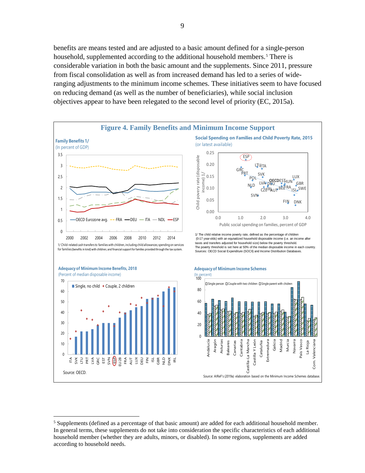benefits are means tested and are adjusted to a basic amount defined for a single-person household, supplemented according to the additional household members.<sup>[5](#page-9-0)</sup> There is considerable variation in both the basic amount and the supplements. Since 2011, pressure from fiscal consolidation as well as from increased demand has led to a series of wideranging adjustments to the minimum income schemes. These initiatives seem to have focused on reducing demand (as well as the number of beneficiaries), while social inclusion objectives appear to have been relegated to the second level of priority (EC, 2015a).



<span id="page-9-0"></span><sup>&</sup>lt;sup>5</sup> Supplements (defined as a percentage of that basic amount) are added for each additional household member. In general terms, these supplements do not take into consideration the specific characteristics of each additional household member (whether they are adults, minors, or disabled). In some regions, supplements are added according to household needs.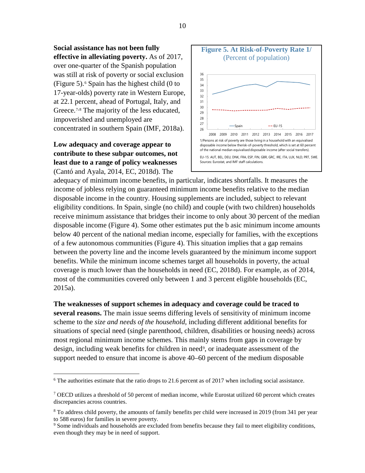**Social assistance has not been fully effective in alleviating poverty.** As of 2017, over one-quarter of the Spanish population was still at risk of poverty or social exclusion (Figure 5). $\epsilon$  Spain has the highest child (0 to 17-year-olds) poverty rate in Western Europe, at 22.1 percent, ahead of Portugal, Italy, and Greece.<sup>[7,](#page-10-1)[8](#page-10-2)</sup> The majority of the less educated, impoverished and unemployed are concentrated in southern Spain (IMF, 2018a).

# **Low adequacy and coverage appear to contribute to these subpar outcomes, not least due to a range of policy weaknesses**  (Cantó and Ayala, 2014, EC, 2018d). The



adequacy of minimum income benefits, in particular, indicates shortfalls. It measures the income of jobless relying on guaranteed minimum income benefits relative to the median disposable income in the country. Housing supplements are included, subject to relevant eligibility conditions. In Spain, single (no child) and couple (with two children) households receive minimum assistance that bridges their income to only about 30 percent of the median disposable income (Figure 4). Some other estimates put the b asic minimum income amounts below 40 percent of the national median income, especially for families, with the exceptions of a few autonomous communities (Figure 4). This situation implies that a gap remains between the poverty line and the income levels guaranteed by the minimum income support benefits. While the minimum income schemes target all households in poverty, the actual coverage is much lower than the households in need (EC, 2018d). For example, as of 2014, most of the communities covered only between 1 and 3 percent eligible households (EC, 2015a).

**The weaknesses of support schemes in adequacy and coverage could be traced to several reasons.** The main issue seems differing levels of sensitivity of minimum income scheme to the *size and needs of the household*, including different additional benefits for situations of special need (single parenthood, children, disabilities or housing needs) across most regional minimum income schemes. This mainly stems from gaps in coverage by design, including weak benefits for children in need<sup>[9](#page-10-3)</sup>, or inadequate assessment of the support needed to ensure that income is above 40–60 percent of the medium disposable

<span id="page-10-0"></span><sup>&</sup>lt;sup>6</sup> The authorities estimate that the ratio drops to 21.6 percent as of 2017 when including social assistance.

<span id="page-10-1"></span> $7$  OECD utilizes a threshold of 50 percent of median income, while Eurostat utilized 60 percent which creates discrepancies across countries.

<span id="page-10-2"></span><sup>&</sup>lt;sup>8</sup> To address child poverty, the amounts of family benefits per child were increased in 2019 (from 341 per year to 588 euros) for families in severe poverty.

<span id="page-10-3"></span><sup>&</sup>lt;sup>9</sup> Some individuals and households are excluded from benefits because they fail to meet eligibility conditions, even though they may be in need of support.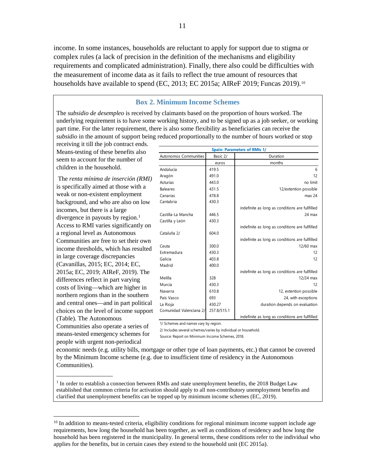income. In some instances, households are reluctant to apply for support due to stigma or complex rules (a lack of precision in the definition of the mechanisms and eligibility requirements and complicated administration). Finally, there also could be difficulties with the measurement of income data as it fails to reflect the true amount of resources that households have available to spend (EC, 2013; EC 2015a; AIReF 2019; Funcas 2019).<sup>[10](#page-11-0)</sup>

#### **Box 2. Minimum Income Schemes**

The *subsidio de desempleo* is received by claimants based on the proportion of hours worked. The underlying requirement is to have some working history, and to be signed up as a job seeker, or working part time. For the latter requirement, there is also some flexibility as beneficiaries can receive the *subsidio* in the amount of support being reduced proportionally to the number of hours worked or stop

receiving it till the job contract ends. Means-testing of these benefits also seem to account for the number of children in the household.

The *renta mínima de inserción (RMI)* is specifically aimed at those with a weak or non-existent employment background, and who are also on low incomes, but there is a large divergence in payouts by region. $<sup>1</sup>$ </sup> Access to RMI varies significantly on a regional level as Autonomous Communities are free to set their own income thresholds, which has resulted in large coverage discrepancies (Cavanillas, 2015; EC, 2014; EC, 2015a; EC, 2019; AIReF, 2019). The differences reflect in part varying costs of living—which are higher in northern regions than in the southern and central ones—and in part political choices on the level of income support (Table). The Autonomous Communities also operate a series of means-tested emergency schemes for people with urgent non-periodical

\_\_\_\_\_\_\_\_\_\_\_\_\_\_\_\_\_\_

| <b>Spain: Parameters of RMIs 1/</b> |             |                                                 |  |  |  |  |  |  |
|-------------------------------------|-------------|-------------------------------------------------|--|--|--|--|--|--|
| Autonomos Communities               | Basic 2/    | Duration                                        |  |  |  |  |  |  |
|                                     | euros       | months                                          |  |  |  |  |  |  |
| Andalucía                           | 419.5       | 6                                               |  |  |  |  |  |  |
| Aragón                              | 491.0       | 12                                              |  |  |  |  |  |  |
| Asturias                            | 443.0       | no limit                                        |  |  |  |  |  |  |
| <b>Baleares</b>                     | 431.5       | 12/extention possible                           |  |  |  |  |  |  |
| Canarias                            | 478.8       | max 24                                          |  |  |  |  |  |  |
| Cantabria                           | 430.3       |                                                 |  |  |  |  |  |  |
|                                     |             | indefinite as long as conditions are fullfilled |  |  |  |  |  |  |
| Castilla-La Mancha                  | 446.5       | $24$ max                                        |  |  |  |  |  |  |
| Castilla y León                     | 430.3       |                                                 |  |  |  |  |  |  |
|                                     |             | indefinite as long as conditions are fullfilled |  |  |  |  |  |  |
| Cataluña 2/                         | 604.0       |                                                 |  |  |  |  |  |  |
|                                     |             | indefinite as long as conditions are fullfilled |  |  |  |  |  |  |
| Ceuta                               | 300.0       | 12/60 max                                       |  |  |  |  |  |  |
| Extremadura                         | 430.3       | 12                                              |  |  |  |  |  |  |
| Galicia                             | 403.8       | 12                                              |  |  |  |  |  |  |
| Madrid                              | 400.0       |                                                 |  |  |  |  |  |  |
|                                     |             | indefinite as long as conditions are fullfilled |  |  |  |  |  |  |
| Melilla                             | 328         | $12/24$ max                                     |  |  |  |  |  |  |
| Murcia                              | 430.3       | 12                                              |  |  |  |  |  |  |
| Navarra                             | 610.8       | 12, extention possible                          |  |  |  |  |  |  |
| País Vasco                          | 693         | 24, with exceptions                             |  |  |  |  |  |  |
| La Rioja                            | 430.27      | duration depends on evaluation                  |  |  |  |  |  |  |
| Comunidad Valenciana 2/             | 257.8/515.1 |                                                 |  |  |  |  |  |  |
|                                     |             | indefinite as long as conditions are fullfilled |  |  |  |  |  |  |

1/ Schemes and names vary by region.

2/ Includes several schemes/varies by individual or household.

Source: Report on Minimum Income Schemes, 2018.

economic needs (e.g. utility bills, mortgage or other type of loan payments, etc.) that cannot be covered by the Minimum Income scheme (e.g. due to insufficient time of residency in the Autonomous Communities).

 $1$  In order to establish a connection between RMIs and state unemployment benefits, the 2018 Budget Law established that common criteria for activation should apply to all non-contributory unemployment benefits and clarified that unemployment benefits can be topped up by minimum income schemes (EC, 2019).

<span id="page-11-0"></span><sup>&</sup>lt;sup>10</sup> In addition to means-tested criteria, eligibility conditions for regional minimum income support include age requirements, how long the household has been together, as well as conditions of residency and how long the household has been registered in the municipality. In general terms, these conditions refer to the individual who applies for the benefits, but in certain cases they extend to the household unit (EC 2015a).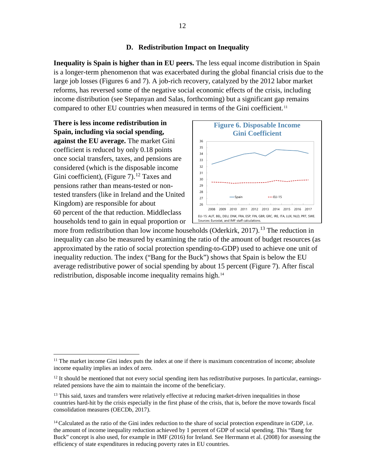# **D. Redistribution Impact on Inequality**

**Inequality is Spain is higher than in EU peers.** The less equal income distribution in Spain is a longer-term phenomenon that was exacerbated during the global financial crisis due to the large job losses (Figures 6 and 7). A job-rich recovery, catalyzed by the 2012 labor market reforms, has reversed some of the negative social economic effects of the crisis, including income distribution (see Stepanyan and Salas, forthcoming) but a significant gap remains compared to other EU countries when measured in terms of the Gini coefficient.<sup>[11](#page-12-0)</sup>

**There is less income redistribution in Spain, including via social spending, against the EU average.** The market Gini coefficient is reduced by only 0.18 points once social transfers, taxes, and pensions are considered (which is the disposable income Gini coefficient), (Figure 7).<sup>[12](#page-12-1)</sup> Taxes and pensions rather than means-tested or nontested transfers (like in Ireland and the United Kingdom) are responsible for about 60 percent of the that reduction. Middleclass households tend to gain in equal proportion or



more from redistribution than low income households (Oderkirk, 2017).<sup>[13](#page-12-2)</sup> The reduction in inequality can also be measured by examining the ratio of the amount of budget resources (as approximated by the ratio of social protection spending-to-GDP) used to achieve one unit of inequality reduction. The index ("Bang for the Buck") shows that Spain is below the EU average redistributive power of social spending by about 15 percent (Figure 7). After fiscal redistribution, disposable income inequality remains high.[14](#page-12-3)

<span id="page-12-0"></span><sup>&</sup>lt;sup>11</sup> The market income Gini index puts the index at one if there is maximum concentration of income; absolute income equality implies an index of zero.

<span id="page-12-1"></span><sup>&</sup>lt;sup>12</sup> It should be mentioned that not every social spending item has redistributive purposes. In particular, earningsrelated pensions have the aim to maintain the income of the beneficiary.

<span id="page-12-2"></span><sup>&</sup>lt;sup>13</sup> This said, taxes and transfers were relatively effective at reducing market-driven inequalities in those countries hard-hit by the crisis especially in the first phase of the crisis, that is, before the move towards fiscal consolidation measures (OECDb, 2017).

<span id="page-12-3"></span><sup>&</sup>lt;sup>14</sup> Calculated as the ratio of the Gini index reduction to the share of social protection expenditure in GDP, i.e. the amount of income inequality reduction achieved by 1 percent of GDP of social spending. This "Bang for Buck" concept is also used, for example in IMF (2016) for Ireland. See Herrmann et al. (2008) for assessing the efficiency of state expenditures in reducing poverty rates in EU countries.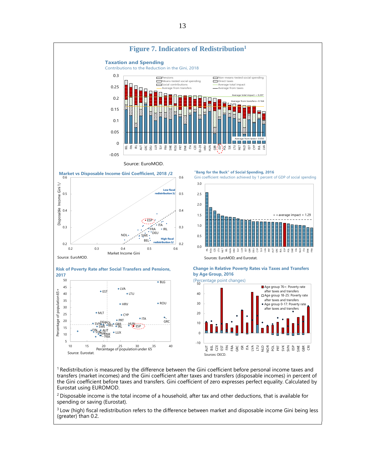

<sup>1</sup> Redistribution is measured by the difference between the Gini coefficient before personal income taxes and transfers (market incomes) and the Gini coefficient after taxes and transfers (disposable incomes) in percent of the Gini coefficient before taxes and transfers. Gini coefficient of zero expresses perfect equality. Calculated by Eurostat using EUROMOD.

<sup>2</sup> Disposable income is the total income of a household, after tax and other deductions, that is available for spending or saving (Eurostat).

<sup>3</sup> Low (high) fiscal redistribution refers to the difference between market and disposable income Gini being less (greater) than 0.2.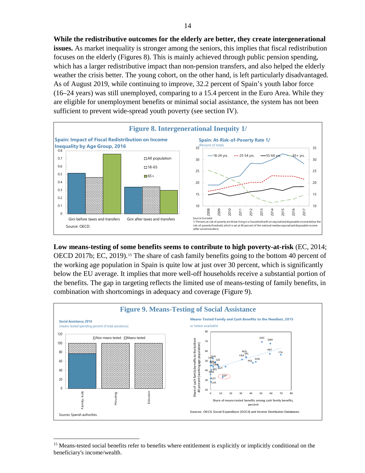**While the redistributive outcomes for the elderly are better, they create intergenerational issues.** As market inequality is stronger among the seniors, this implies that fiscal redistribution focuses on the elderly (Figures 8). This is mainly achieved through public pension spending, which has a larger redistributive impact than non-pension transfers, and also helped the elderly weather the crisis better. The young cohort, on the other hand, is left particularly disadvantaged. As of August 2019, while continuing to improve, 32.2 percent of Spain's youth labor force (16–24 years) was still unemployed, comparing to a 15.4 [percent](http://ec.europa.eu/eurostat/statistics-explained/index.php/Unemployment_statistics#Youth_unemployment) in the Euro Area. While they are eligible for unemployment benefits or minimal social assistance, the system has not been sufficient to prevent wide-spread youth poverty (see section IV).



**Low means-testing of some benefits seems to contribute to high poverty-at-risk** (EC, 2014; OECD 2017b; EC, 2019).<sup>[15](#page-14-0)</sup> The share of cash family benefits going to the bottom 40 percent of the working age population in Spain is quite low at just over 30 percent, which is significantly below the EU average. It implies that more well-off households receive a substantial portion of the benefits. The gap in targeting reflects the limited use of means-testing of family benefits, in combination with shortcomings in adequacy and coverage (Figure 9).



<span id="page-14-0"></span><sup>&</sup>lt;sup>15</sup> Means-tested social benefits refer to benefits where entitlement is explicitly or implicitly conditional on the beneficiary's income/wealth.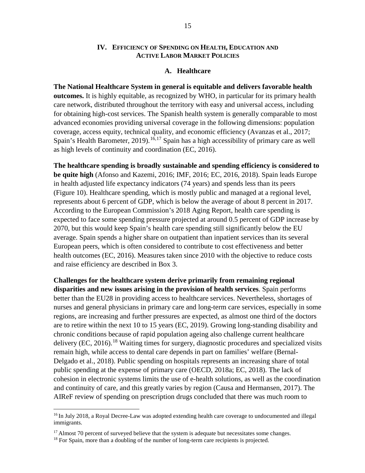### **IV. EFFICIENCY OF SPENDING ON HEALTH, EDUCATION AND ACTIVE LABOR MARKET POLICIES**

#### **A. Healthcare**

**The National Healthcare System in general is equitable and delivers favorable health outcomes.** It is highly equitable, as recognized by WHO, in particular for its primary health care network, distributed throughout the territory with easy and universal access, including for obtaining high-cost services. The Spanish health system is generally comparable to most advanced economies providing universal coverage in the following dimensions: population coverage, access equity, technical quality, and economic efficiency (Avanzas et al., 2017; Spain's Health Barometer, 2019).<sup>[16](#page-15-0),[17](#page-15-1)</sup> Spain has a high accessibility of primary care as well as high levels of continuity and coordination (EC, 2016).

**The healthcare spending is broadly sustainable and spending efficiency is considered to be quite high** (Afonso and Kazemi, 2016; IMF, 2016; EC, 2016, 2018). Spain leads Europe in health adjusted life expectancy indicators (74 years) and spends less than its peers (Figure 10). Healthcare spending, which is mostly public and managed at a regional level, represents about 6 percent of GDP, which is below the average of about 8 percent in 2017. According to the European Commission's 2018 Aging Report, health care spending is expected to face some spending pressure projected at around 0.5 percent of GDP increase by 2070, but this would keep Spain's health care spending still significantly below the EU average. Spain spends a higher share on outpatient than inpatient services than its several European peers, which is often considered to contribute to cost effectiveness and better health outcomes (EC, 2016). Measures taken since 2010 with the objective to reduce costs and raise efficiency are described in Box 3.

**Challenges for the healthcare system derive primarily from remaining regional disparities and new issues arising in the provision of health services**. Spain performs better than the EU28 in providing access to healthcare services. Nevertheless, shortages of nurses and general physicians in primary care and long-term care services, especially in some regions, are increasing and further pressures are expected, as almost one third of the doctors are to retire within the next 10 to 15 years (EC, 2019). Growing long-standing disability and chronic conditions because of rapid population ageing also challenge current healthcare delivery  $(EC, 2016)$ <sup>[18](#page-15-2)</sup> Waiting times for surgery, diagnostic procedures and specialized visits remain high, while access to dental care depends in part on families' welfare (Bernal-Delgado et al., 2018). Public spending on hospitals represents an increasing share of total public spending at the expense of primary care (OECD, 2018a; EC, 2018). The lack of cohesion in electronic systems limits the use of e-health solutions, as well as the coordination and continuity of care, and this greatly varies by region (Causa and Hermansen, 2017). The AIReF review of spending on prescription drugs concluded that there was much room to

<span id="page-15-0"></span><sup>&</sup>lt;sup>16</sup> In July 2018, a Royal Decree-Law was adopted extending health care coverage to undocumented and illegal immigrants.

<span id="page-15-1"></span><sup>&</sup>lt;sup>17</sup> Almost 70 percent of surveyed believe that the system is adequate but necessitates some changes.

<span id="page-15-2"></span><sup>&</sup>lt;sup>18</sup> For Spain, more than a doubling of the number of long-term care recipients is projected.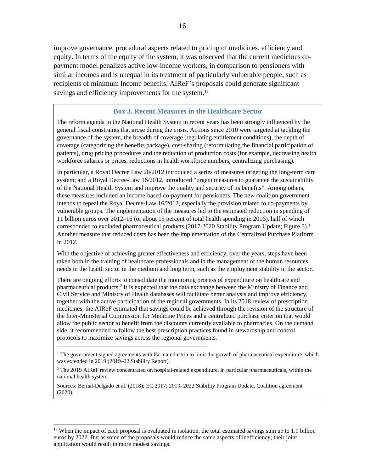improve governance, procedural aspects related to pricing of medicines, efficiency and equity. In terms of the equity of the system, it was observed that the current medicines copayment model penalizes active low-income workers, in comparison to pensioners with similar incomes and is unequal in its treatment of particularly vulnerable people, such as recipients of minimum income benefits. AIReF's proposals could generate significant savings and efficiency improvements for the system.<sup>[19](#page-16-0)</sup>

# **Box 3. Recent Measures in the Healthcare Sector**

The reform agenda in the National Health System in recent years has been strongly influenced by the general fiscal constraints that arose during the crisis. Actions since 2010 were targeted at tackling the governance of the system, the breadth of coverage (regulating entitlement conditions), the depth of coverage (categorizing the benefits package), cost-sharing (reformulating the financial participation of patients), drug pricing procedures and the reduction of production costs (for example, decreasing health workforce salaries or prices, reductions in health workforce numbers, centralizing purchasing).

In particular, a Royal Decree Law 20/2012 introduced a series of measures targeting the long-term care system; and a Royal Decree-Law 16/2012, introduced "urgent measures to guarantee the sustainability of the National Health System and improve the quality and security of its benefits". Among others, these measures included an income-based co-payment for pensioners. The new coalition government intends to repeal the Royal Decree-Law 16/2012, especially the provision related to co-payments by vulnerable groups. The implementation of the measures led to the estimated reduction in spending of 11 billion euros over 2012–16 (or about 15 percent of total health spending in 2016), half of which corresponded to excluded pharmaceutical products (2017-2020 Stability Program Update; Figure 3).<sup>1</sup> Another measure that reduced costs has been the implementation of the Centralized Purchase Platform in 2012.

With the objective of achieving greater effectiveness and efficiency, over the years, steps have been taken both in the training of healthcare professionals and in the management of the human resources needs in the health sector in the medium and long term, such as the employment stability in the sector.

There are ongoing efforts to consolidate the monitoring process of expenditure on healthcare and pharmaceutical products.2 It is expected that the data exchange between the Ministry of Finance and Civil Service and Ministry of Health databases will facilitate better analysis and improve efficiency, together with the active participation of the regional governments. In its 2018 review of prescription medicines, the AIReF estimated that savings could be achieved through the revision of the structure of the Inter-Ministerial Commission for Medicine Prices and a centralized purchase criterion that would allow the public sector to benefit from the discounts currently available to pharmacies. On the demand side, it recommended to follow the best prescription practices found in stewardship and control protocols to maximize savings across the regional governments.

\_\_\_\_\_\_\_\_\_\_\_\_\_\_\_\_\_\_\_\_\_\_\_\_\_\_\_\_\_\_\_\_\_\_\_\_\_\_\_\_\_\_\_\_\_\_\_\_

<sup>&</sup>lt;sup>1</sup> The government signed agreements with Farmaindustria to limit the growth of pharmaceutical expenditure, which was extended in 2019 (2019–22 Stability Report).

<sup>&</sup>lt;sup>2</sup> The 2019 AIReF review concentrated on hospital-related expenditure, in particular pharmaceuticals, within the national health system.

Sources: Bernal-Delgado et al. (2018); EC 2017; 2019–2022 Stability Program Update, Coalition agreement (2020).

<span id="page-16-0"></span><sup>&</sup>lt;sup>19</sup> When the impact of each proposal is evaluated in isolation, the total estimated savings sum up to 1.9 billion euros by 2022. But as some of the proposals would reduce the same aspects of inefficiency; their joint application would result in more modest savings.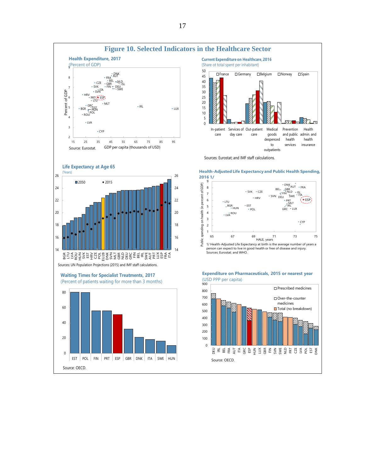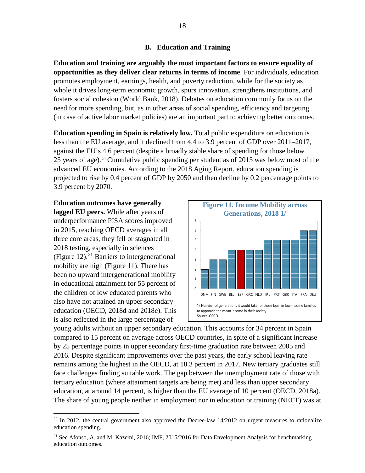# **B. Education and Training**

**Education and training are arguably the most important factors to ensure equality of opportunities as they deliver clear returns in terms of income**. For individuals, education promotes employment, earnings, health, and poverty reduction, while for the society as whole it drives long-term economic growth, spurs innovation, strengthens institutions, and fosters social cohesion (World Bank, 2018). Debates on education commonly focus on the need for more spending, but, as in other areas of social spending, efficiency and targeting (in case of active labor market policies) are an important part to achieving better outcomes.

**Education spending in Spain is relatively low.** Total public expenditure on education is less than the EU average, and it declined from 4.4 to 3.9 percent of GDP over 2011–2017, against the EU's 4.6 percent (despite a broadly stable share of spending for those below 25 years of age).[20](#page-18-0) Cumulative public spending per student as of 2015 was below most of the advanced EU economies. According to the 2018 Aging Report, education spending is projected to rise by 0.4 percent of GDP by 2050 and then decline by 0.2 percentage points to 3.9 percent by 2070.

# **Education outcomes have generally**

**lagged EU peers.** While after years of underperformance PISA scores improved in 2015, reaching OECD averages in all three core areas, they fell or stagnated in 2018 testing, especially in sciences (Figure 12).<sup>[21](#page-18-1)</sup> Barriers to intergenerational mobility are high (Figure 11). There has been no upward intergenerational mobility in educational attainment for 55 percent of the children of low educated parents who also have not attained an upper secondary education (OECD, 2018d and 2018e). This is also reflected in the large percentage of



young adults without an upper secondary education. This accounts for 34 percent in Spain compared to 15 percent on average across OECD countries, in spite of a significant increase by 25 percentage points in upper secondary first-time graduation rate between 2005 and 2016. Despite significant improvements over the past years, the early school leaving rate remains among the highest in the OECD, at 18.3 percent in 2017. New tertiary graduates still face challenges finding suitable work. The gap between the unemployment rate of those with tertiary education (where attainment targets are being met) and less than upper secondary education, at around 14 percent, is higher than the EU average of 10 percent (OECD, 2018a). The share of young people neither in employment nor in education or training (NEET) was at

<span id="page-18-0"></span> $20$  In 2012, the central government also approved the Decree-law 14/2012 on urgent measures to rationalize education spending.

<span id="page-18-1"></span><sup>&</sup>lt;sup>21</sup> See Afonso, A. and M. Kazemi, 2016; IMF, 2015/2016 for Data Envelopment Analysis for benchmarking education outcomes.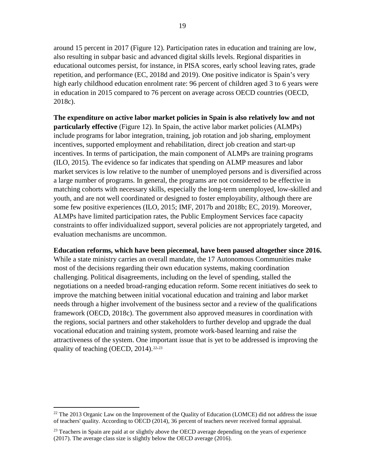around 15 percent in 2017 (Figure 12). Participation rates in education and training are low, also resulting in subpar basic and advanced digital skills levels. Regional disparities in educational outcomes persist, for instance, in PISA scores, early school leaving rates, grade repetition, and performance (EC, 2018d and 2019). One positive indicator is Spain's very high early childhood education enrolment rate: 96 percent of children aged 3 to 6 years were in education in 2015 compared to 76 percent on average across OECD countries (OECD, 2018c).

**The expenditure on active labor market policies in Spain is also relatively low and not particularly effective** (Figure 12). In Spain, the active labor market policies (ALMPs) include programs for labor integration, training, job rotation and job sharing, employment incentives, supported employment and rehabilitation, direct job creation and start-up incentives. In terms of participation, the main component of ALMPs are training programs (ILO, 2015). The evidence so far indicates that spending on ALMP measures and labor market services is low relative to the number of unemployed persons and is diversified across a large number of programs. In general, the programs are not considered to be effective in matching cohorts with necessary skills, especially the long-term unemployed, low-skilled and youth, and are not well coordinated or designed to foster employability, although there are some few positive experiences (ILO, 2015; IMF, 2017b and 2018b; EC, 2019). Moreover, ALMPs have limited participation rates, the Public Employment Services face capacity constraints to offer individualized support, several policies are not appropriately targeted, and evaluation mechanisms are uncommon.

# **Education reforms, which have been piecemeal, have been paused altogether since 2016.**

While a state ministry carries an overall mandate, the 17 Autonomous Communities make most of the decisions regarding their own education systems, making coordination challenging. Political disagreements, including on the level of spending, stalled the negotiations on a needed broad-ranging education reform. Some recent initiatives do seek to improve the matching between initial vocational education and training and labor market needs through a higher involvement of the business sector and a review of the qualifications framework (OECD, 2018c). The government also approved measures in coordination with the regions, social partners and other stakeholders to further develop and upgrade the dual vocational education and training system, promote work-based learning and raise the attractiveness of the system. One important issue that is yet to be addressed is improving the quality of teaching (OECD,  $2014$ ).<sup>[22](#page-19-0),[23](#page-19-1)</sup>

<span id="page-19-0"></span> $^{22}$  The 2013 Organic Law on the Improvement of the Quality of Education (LOMCE) did not address the issue of teachers' quality. According to OECD (2014), 36 percent of teachers never received formal appraisal.

<span id="page-19-1"></span> $23$  Teachers in Spain are paid at or slightly above th[e OECD](javascript:void(0);) average depending on the years of experience (2017). The average class size is slightly below the OECD average (2016).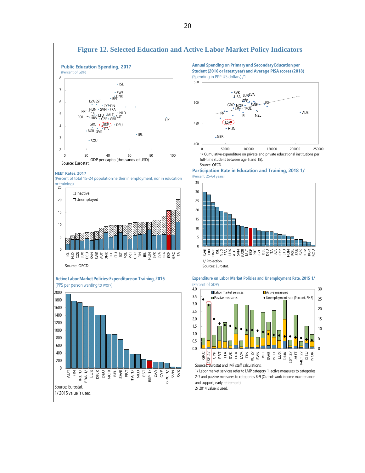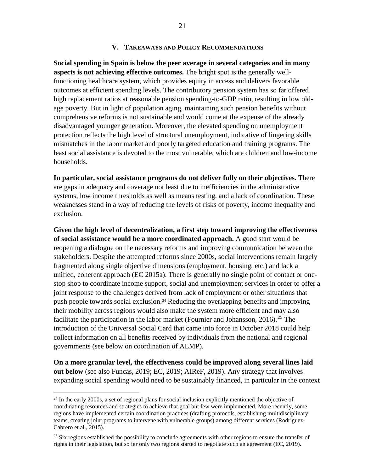## **V. TAKEAWAYS AND POLICY RECOMMENDATIONS**

**Social spending in Spain is below the peer average in several categories and in many aspects is not achieving effective outcomes.** The bright spot is the generally wellfunctioning healthcare system, which provides equity in access and delivers favorable outcomes at efficient spending levels. The contributory pension system has so far offered high replacement ratios at reasonable pension spending-to-GDP ratio, resulting in low oldage poverty. But in light of population aging, maintaining such pension benefits without comprehensive reforms is not sustainable and would come at the expense of the already disadvantaged younger generation. Moreover, the elevated spending on unemployment protection reflects the high level of structural unemployment, indicative of lingering skills mismatches in the labor market and poorly targeted education and training programs. The least social assistance is devoted to the most vulnerable, which are children and low-income households.

**In particular, social assistance programs do not deliver fully on their objectives.** There are gaps in adequacy and coverage not least due to inefficiencies in the administrative systems, low income thresholds as well as means testing, and a lack of coordination. These weaknesses stand in a way of reducing the levels of risks of poverty, income inequality and exclusion.

**Given the high level of decentralization, a first step toward improving the effectiveness of social assistance would be a more coordinated approach.** A good start would be reopening a dialogue on the necessary reforms and improving communication between the stakeholders. Despite the attempted reforms since 2000s, social interventions remain largely fragmented along single objective dimensions (employment, housing, etc.) and lack a unified, coherent approach (EC 2015a). There is generally no single point of contact or onestop shop to coordinate income support, social and unemployment services in order to offer a joint response to the challenges derived from lack of employment or other situations that push people towards social exclusion.[24](#page-21-0) Reducing the overlapping benefits and improving their mobility across regions would also make the system more efficient and may also facilitate the participation in the labor market (Fournier and Johansson, 2016).<sup>[25](#page-21-1)</sup> The introduction of the Universal Social Card that came into force in October 2018 could help collect information on all benefits received by individuals from the national and regional governments (see below on coordination of ALMP).

**On a more granular level, the effectiveness could be improved along several lines laid out below** (see also Funcas, 2019; EC, 2019; AIReF, 2019). Any strategy that involves expanding social spending would need to be sustainably financed, in particular in the context

<span id="page-21-0"></span> $^{24}$  In the early 2000s, a set of regional plans for social inclusion explicitly mentioned the objective of coordinating resources and strategies to achieve that goal but few were implemented. More recently, some regions have implemented certain coordination practices (drafting protocols, establishing multidisciplinary teams, creating joint programs to intervene with vulnerable groups) among different services (Rodriguez-Cabrero et al., 2015).

<span id="page-21-1"></span><sup>&</sup>lt;sup>25</sup> Six regions established the possibility to conclude agreements with other regions to ensure the transfer of rights in their legislation, but so far only two regions started to negotiate such an agreement (EC, 2019).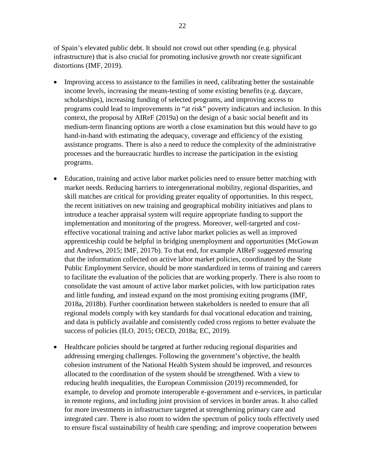of Spain's elevated public debt. It should not crowd out other spending (e.g. physical infrastructure) that is also crucial for promoting inclusive growth nor create significant distortions (IMF, 2019).

- Improving access to assistance to the families in need, calibrating better the sustainable income levels, increasing the means-testing of some existing benefits (e.g. daycare, scholarships), increasing funding of selected programs, and improving access to programs could lead to improvements in "at risk" poverty indicators and inclusion. In this context, the proposal by AIReF (2019a) on the design of a basic social benefit and its medium-term financing options are worth a close examination but this would have to go hand-in-hand with estimating the adequacy, coverage and efficiency of the existing assistance programs. There is also a need to reduce the complexity of the administrative processes and the bureaucratic hurdles to increase the participation in the existing programs.
- Education, training and active labor market policies need to ensure better matching with market needs. Reducing barriers to intergenerational mobility, regional disparities, and skill matches are critical for providing greater equality of opportunities. In this respect, the recent initiatives on new training and geographical mobility initiatives and plans to introduce a teacher appraisal system will require appropriate funding to support the implementation and monitoring of the progress. Moreover, well-targeted and costeffective vocational training and active labor market policies as well as improved apprenticeship could be helpful in bridging unemployment and opportunities (McGowan and Andrews, 2015; IMF, 2017b). To that end, for example AIReF suggested ensuring that the information collected on active labor market policies, coordinated by the State Public Employment Service, should be more standardized in terms of training and careers to facilitate the evaluation of the policies that are working properly. There is also room to consolidate the vast amount of active labor market policies, with low participation rates and little funding, and instead expand on the most promising exiting programs (IMF, 2018a, 2018b). Further coordination between stakeholders is needed to ensure that all regional models comply with key standards for dual vocational education and training, and data is publicly available and consistently coded cross regions to better evaluate the success of policies (ILO, 2015; OECD, 2018a; EC, 2019).
- Healthcare policies should be targeted at further reducing regional disparities and addressing emerging challenges. Following the government's objective, the health cohesion instrument of the National Health System should be improved, and resources allocated to the coordination of the system should be strengthened. With a view to reducing health inequalities, the European Commission (2019) recommended, for example, to develop and promote interoperable e-government and e-services, in particular in remote regions, and including joint provision of services in border areas. It also called for more investments in infrastructure targeted at strengthening primary care and integrated care. There is also room to widen the spectrum of policy tools effectively used to ensure fiscal sustainability of health care spending; and improve cooperation between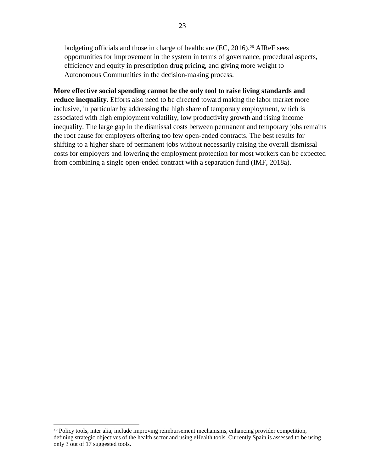budgeting officials and those in charge of healthcare (EC, 2016).<sup>[26](#page-23-0)</sup> AIReF sees opportunities for improvement in the system in terms of governance, procedural aspects, efficiency and equity in prescription drug pricing, and giving more weight to Autonomous Communities in the decision-making process.

**More effective social spending cannot be the only tool to raise living standards and reduce inequality.** Efforts also need to be directed toward making the labor market more inclusive, in particular by addressing the high share of temporary employment, which is associated with high employment volatility, low productivity growth and rising income inequality. The large gap in the dismissal costs between permanent and temporary jobs remains the root cause for employers offering too few open-ended contracts. The best results for shifting to a higher share of permanent jobs without necessarily raising the overall dismissal costs for employers and lowering the employment protection for most workers can be expected from combining a single open-ended contract with a separation fund (IMF, 2018a).

<span id="page-23-0"></span> $^{26}$  Policy tools, inter alia, include improving reimbursement mechanisms, enhancing provider competition, defining strategic objectives of the health sector and using eHealth tools. Currently Spain is assessed to be using only 3 out of 17 suggested tools.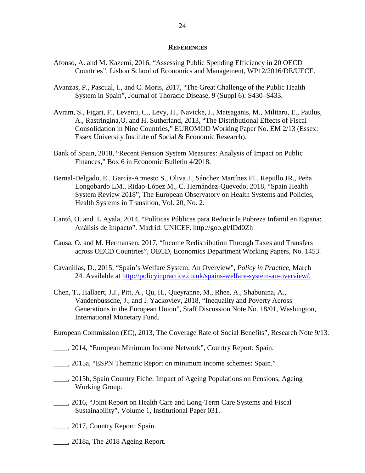#### **REFERENCES**

- Afonso, A. and M. Kazemi, 2016, "Assessing Public Spending Efficiency in 20 OECD Countries", Lisbon School of Economics and Management, WP12/2016/DE/UECE.
- Avanzas, P., Pascual, I., and C. Moris, 2017, "The Great Challenge of the Public Health System in Spain", Journal of Thoracic Disease, 9 (Suppl 6): S430–S433.
- Avram, S., Figari, F., Leventi, C., Levy, H., Navicke, J., Matsaganis, M., Militaru, E., Paulus, A., Rastringina,O. and H. Sutherland, 2013, "The Distributional Effects of Fiscal Consolidation in Nine Countries," EUROMOD Working Paper No. EM 2/13 (Essex: Essex University Institute of Social & Economic Research).
- Bank of Spain, 2018, "Recent Pension System Measures: Analysis of Impact on Public Finances," Box 6 in Economic Bulletin 4/2018.
- Bernal-Delgado, E., García-Armesto S., Oliva J., Sánchez Martínez FI., Repullo JR., Peña Longobardo LM., Ridao-López M., C. Hernández-Quevedo, 2018, "Spain Health System Review 2018", The European Observatory on Health Systems and Policies, Health Systems in Transition, Vol. 20, No. 2.
- Cantó, O. and L.Ayala, 2014, "Políticas Públicas para Reducir la Pobreza Infantil en España: Análisis de Impacto". Madrid: UNICEF. http://goo.gl/IDd0Zh
- Causa, O. and M. Hermansen, 2017, "Income Redistribution Through Taxes and Transfers across OECD Countries", OECD, Economics Department Working Papers, No. 1453.
- [Cavanillas,](http://policyinpractice.co.uk/author/daniel-cavanillas/) D., 2015, "Spain's Welfare System: An Overview", *Policy in Practice,* March 24. Available at [http://policyinpractice.co.uk/spains-welfare-system-an-overview/.](http://policyinpractice.co.uk/spains-welfare-system-an-overview/)
- Chen, T., Hallaert, J.J., Pitt, A., Qu, H., Queyranne, M., Rhee, A., Shabunina, A., Vandenbussche, J., and I. Yackovlev, 2018, "Inequality and Poverty Across Generations in the European Union", Staff Discussion Note No. 18/01, Washington, International Monetary Fund.

European Commission (EC), 2013, The Coverage Rate of Social Benefits", Research Note 9/13.

- \_\_\_\_, 2014, "European Minimum Income Network", Country Report: Spain.
- \_\_\_\_, 2015a, "ESPN Thematic Report on minimum income schemes: Spain."
- \_\_\_\_, 2015b, Spain Country Fiche: Impact of Ageing Populations on Pensions*,* Ageing Working Group.
- \_\_\_\_, 2016, "Joint Report on Health Care and Long-Term Care Systems and Fiscal Sustainability", Volume 1, Institutional Paper 031.
- \_\_\_\_, 2017, Country Report: Spain.
- \_\_\_\_, 2018a, The 2018 Ageing Report.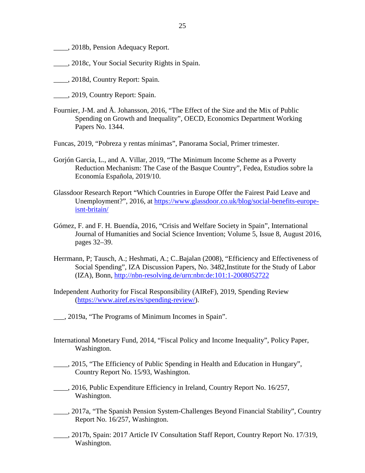- \_\_\_\_, 2018b, Pension Adequacy Report.
- \_\_\_\_, 2018c, Your Social Security Rights in Spain.
- \_\_\_\_, 2018d, Country Report: Spain.
- \_\_\_\_, 2019, Country Report: Spain.
- Fournier, J-M. and Å. Johansson, 2016, "The Effect of the Size and the Mix of Public Spending on Growth and Inequality", OECD, Economics Department Working Papers No. 1344.
- Funcas, 2019, "Pobreza y rentas mínimas", Panorama Social, Primer trimester.
- Gorjón Garcia, L., and A. Villar, 2019, "The Minimum Income Scheme as a Poverty Reduction Mechanism: The Case of the Basque Country", Fedea, Estudios sobre la Economía Española, 2019/10.
- [Glassdoor Research Report](https://www.glassdoor.com/research/) "Which Countries in Europe Offer the Fairest Paid Leave and Unemployment?", 2016, at https://www.glassdoor.co.uk/blog/social-benefits-europeisnt-britain/
- Gómez, F. and F. H. Buendía, 2016, "Crisis and Welfare Society in Spain", International Journal of Humanities and Social Science Invention; Volume 5, Issue 8, August 2016, pages 32–39.
- Herrmann, P; Tausch, A.; Heshmati, A.; C..Bajalan (2008), "Efficiency and Effectiveness of Social Spending", IZA Discussion Papers, No. 3482,Institute for the Study of Labor (IZA), Bonn,<http://nbn-resolving.de/urn:nbn:de:101:1-2008052722>
- Independent Authority for Fiscal Responsibility (AIReF), 2019, Spending Review [\(https://www.airef.es/es/spending-review/\)](https://www.airef.es/es/spending-review/).
- \_\_\_, 2019a, "The Programs of Minimum Incomes in Spain".
- International Monetary Fund, 2014, "Fiscal Policy and Income Inequality", Policy Paper, Washington.
- \_\_\_\_, 2015, "The Efficiency of Public Spending in Health and Education in Hungary", Country Report No. 15/93, Washington.
- \_\_\_\_, 2016, Public Expenditure Efficiency in Ireland, Country Report No. 16/257, Washington.
- \_\_\_\_, 2017a, "The Spanish Pension System-Challenges Beyond Financial Stability", Country Report No. 16/257, Washington.
- \_\_\_\_, 2017b, Spain: 2017 Article IV Consultation Staff Report, Country Report No. 17/319, Washington.